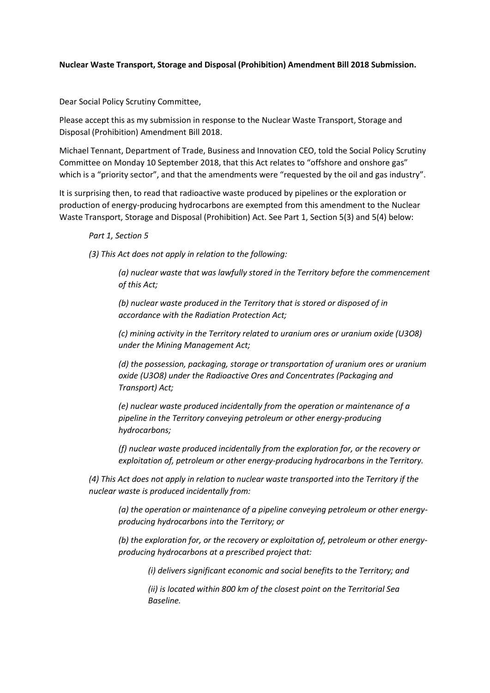## **Nuclear Waste Transport, Storage and Disposal (Prohibition) Amendment Bill 2018 Submission.**

Dear Social Policy Scrutiny Committee,

Please accept this as my submission in response to the Nuclear Waste Transport, Storage and Disposal (Prohibition) Amendment Bill 2018.

Michael Tennant, Department of Trade, Business and Innovation CEO, told the Social Policy Scrutiny Committee on Monday 10 September 2018, that this Act relates to "offshore and onshore gas" which is a "priority sector", and that the amendments were "requested by the oil and gas industry".

It is surprising then, to read that radioactive waste produced by pipelines or the exploration or production of energy-producing hydrocarbons are exempted from this amendment to the Nuclear Waste Transport, Storage and Disposal (Prohibition) Act. See Part 1, Section 5(3) and 5(4) below:

## *Part 1, Section 5*

*(3) This Act does not apply in relation to the following:*

*(a) nuclear waste that was lawfully stored in the Territory before the commencement of this Act;*

*(b) nuclear waste produced in the Territory that is stored or disposed of in accordance with the Radiation Protection Act;*

*(c) mining activity in the Territory related to uranium ores or uranium oxide (U3O8) under the Mining Management Act;*

*(d) the possession, packaging, storage or transportation of uranium ores or uranium oxide (U3O8) under the Radioactive Ores and Concentrates (Packaging and Transport) Act;*

*(e) nuclear waste produced incidentally from the operation or maintenance of a pipeline in the Territory conveying petroleum or other energy-producing hydrocarbons;*

*(f) nuclear waste produced incidentally from the exploration for, or the recovery or exploitation of, petroleum or other energy-producing hydrocarbons in the Territory.*

*(4) This Act does not apply in relation to nuclear waste transported into the Territory if the nuclear waste is produced incidentally from:*

*(a) the operation or maintenance of a pipeline conveying petroleum or other energyproducing hydrocarbons into the Territory; or*

*(b) the exploration for, or the recovery or exploitation of, petroleum or other energyproducing hydrocarbons at a prescribed project that:*

*(i) delivers significant economic and social benefits to the Territory; and*

*(ii) is located within 800 km of the closest point on the Territorial Sea Baseline.*